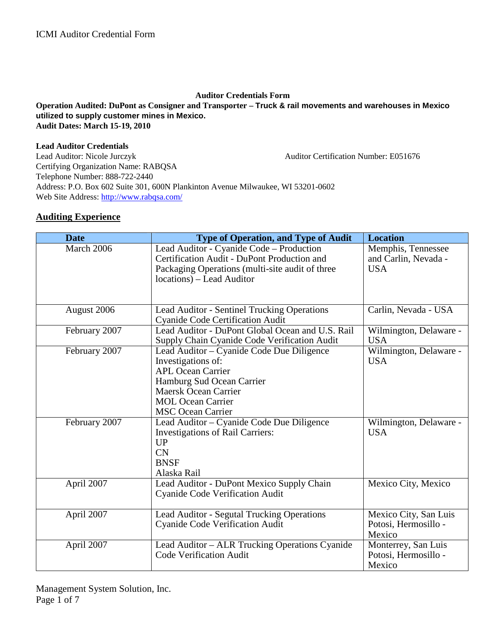### **Auditor Credentials Form Operation Audited: DuPont as Consigner and Transporter – Truck & rail movements and warehouses in Mexico utilized to supply customer mines in Mexico. Audit Dates: March 15-19, 2010**

### **Lead Auditor Credentials**

Lead Auditor: Nicole Jurczyk Auditor Certification Number: E051676 Certifying Organization Name: RABQSA Telephone Number: 888-722-2440 Address: P.O. Box 602 Suite 301, 600N Plankinton Avenue Milwaukee, WI 53201-0602 Web Site Address: http://www.rabqsa.com/

### **Auditing Experience**

| <b>Date</b>   | <b>Type of Operation, and Type of Audit</b>                                                      | <b>Location</b>                            |
|---------------|--------------------------------------------------------------------------------------------------|--------------------------------------------|
| March 2006    | Lead Auditor - Cyanide Code - Production<br>Certification Audit - DuPont Production and          | Memphis, Tennessee<br>and Carlin, Nevada - |
|               | Packaging Operations (multi-site audit of three                                                  | <b>USA</b>                                 |
|               | locations) – Lead Auditor                                                                        |                                            |
|               |                                                                                                  |                                            |
| August 2006   | <b>Lead Auditor - Sentinel Trucking Operations</b><br><b>Cyanide Code Certification Audit</b>    | Carlin, Nevada - USA                       |
| February 2007 | Lead Auditor - DuPont Global Ocean and U.S. Rail<br>Supply Chain Cyanide Code Verification Audit | Wilmington, Delaware -<br><b>USA</b>       |
| February 2007 | Lead Auditor - Cyanide Code Due Diligence                                                        | Wilmington, Delaware -                     |
|               | Investigations of:                                                                               | <b>USA</b>                                 |
|               | <b>APL Ocean Carrier</b>                                                                         |                                            |
|               | Hamburg Sud Ocean Carrier                                                                        |                                            |
|               | <b>Maersk Ocean Carrier</b>                                                                      |                                            |
|               | <b>MOL Ocean Carrier</b>                                                                         |                                            |
|               | <b>MSC Ocean Carrier</b>                                                                         |                                            |
| February 2007 | Lead Auditor - Cyanide Code Due Diligence                                                        | Wilmington, Delaware -                     |
|               | <b>Investigations of Rail Carriers:</b>                                                          | <b>USA</b>                                 |
|               | <b>UP</b>                                                                                        |                                            |
|               | <b>CN</b><br><b>BNSF</b>                                                                         |                                            |
|               | Alaska Rail                                                                                      |                                            |
| April 2007    | Lead Auditor - DuPont Mexico Supply Chain                                                        | Mexico City, Mexico                        |
|               | <b>Cyanide Code Verification Audit</b>                                                           |                                            |
|               |                                                                                                  |                                            |
| April 2007    | Lead Auditor - Segutal Trucking Operations                                                       | Mexico City, San Luis                      |
|               | Cyanide Code Verification Audit                                                                  | Potosi, Hermosillo -                       |
|               |                                                                                                  | Mexico                                     |
| April 2007    | Lead Auditor - ALR Trucking Operations Cyanide                                                   | Monterrey, San Luis                        |
|               | <b>Code Verification Audit</b>                                                                   | Potosi, Hermosillo -                       |
|               |                                                                                                  | Mexico                                     |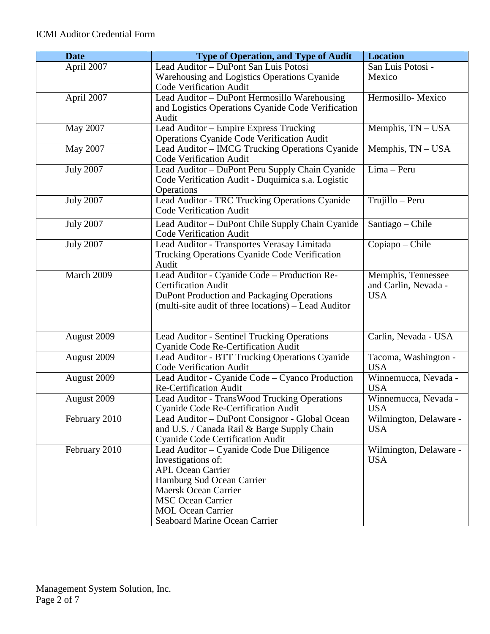| <b>Date</b>      | <b>Type of Operation, and Type of Audit</b>                                | <b>Location</b>                    |
|------------------|----------------------------------------------------------------------------|------------------------------------|
| April 2007       | Lead Auditor - DuPont San Luis Potosi                                      | San Luis Potosi -                  |
|                  | Warehousing and Logistics Operations Cyanide                               | Mexico                             |
|                  | Code Verification Audit                                                    |                                    |
| April 2007       | Lead Auditor - DuPont Hermosillo Warehousing                               | Hermosillo-Mexico                  |
|                  | and Logistics Operations Cyanide Code Verification                         |                                    |
|                  | Audit                                                                      |                                    |
| May 2007         | Lead Auditor - Empire Express Trucking                                     | Memphis, TN - USA                  |
|                  | <b>Operations Cyanide Code Verification Audit</b>                          |                                    |
| May 2007         | Lead Auditor - IMCG Trucking Operations Cyanide                            | Memphis, TN - USA                  |
|                  | Code Verification Audit                                                    |                                    |
| <b>July 2007</b> | Lead Auditor - DuPont Peru Supply Chain Cyanide                            | Lima - Peru                        |
|                  | Code Verification Audit - Duquimica s.a. Logistic                          |                                    |
|                  | Operations                                                                 |                                    |
| <b>July 2007</b> | Lead Auditor - TRC Trucking Operations Cyanide                             | Trujillo - Peru                    |
|                  | <b>Code Verification Audit</b>                                             |                                    |
| <b>July 2007</b> | Lead Auditor – DuPont Chile Supply Chain Cyanide                           | Santiago – Chile                   |
|                  | <b>Code Verification Audit</b>                                             |                                    |
| <b>July 2007</b> | Lead Auditor - Transportes Verasay Limitada                                | $Copiapo - Chile$                  |
|                  | Trucking Operations Cyanide Code Verification                              |                                    |
|                  | Audit                                                                      |                                    |
| March 2009       | Lead Auditor - Cyanide Code - Production Re-<br><b>Certification Audit</b> | Memphis, Tennessee                 |
|                  | DuPont Production and Packaging Operations                                 | and Carlin, Nevada -<br><b>USA</b> |
|                  | (multi-site audit of three locations) – Lead Auditor                       |                                    |
|                  |                                                                            |                                    |
|                  |                                                                            |                                    |
| August 2009      | Lead Auditor - Sentinel Trucking Operations                                | Carlin, Nevada - USA               |
|                  | Cyanide Code Re-Certification Audit                                        |                                    |
| August 2009      | Lead Auditor - BTT Trucking Operations Cyanide                             | Tacoma, Washington -               |
|                  | Code Verification Audit                                                    | <b>USA</b>                         |
| August 2009      | Lead Auditor - Cyanide Code – Cyanco Production                            | Winnemucca, Nevada -               |
|                  | Re-Certification Audit                                                     | <b>USA</b>                         |
| August 2009      | Lead Auditor - TransWood Trucking Operations                               | Winnemucca, Nevada -               |
|                  | <b>Cyanide Code Re-Certification Audit</b>                                 | <b>USA</b>                         |
| February 2010    | Lead Auditor - DuPont Consignor - Global Ocean                             | Wilmington, Delaware -             |
|                  | and U.S. / Canada Rail & Barge Supply Chain                                | <b>USA</b>                         |
|                  | <b>Cyanide Code Certification Audit</b>                                    |                                    |
| February 2010    | Lead Auditor – Cyanide Code Due Diligence                                  | Wilmington, Delaware -             |
|                  | Investigations of:                                                         | <b>USA</b>                         |
|                  | <b>APL Ocean Carrier</b>                                                   |                                    |
|                  | Hamburg Sud Ocean Carrier                                                  |                                    |
|                  | <b>Maersk Ocean Carrier</b>                                                |                                    |
|                  | <b>MSC</b> Ocean Carrier                                                   |                                    |
|                  | <b>MOL Ocean Carrier</b>                                                   |                                    |
|                  | Seaboard Marine Ocean Carrier                                              |                                    |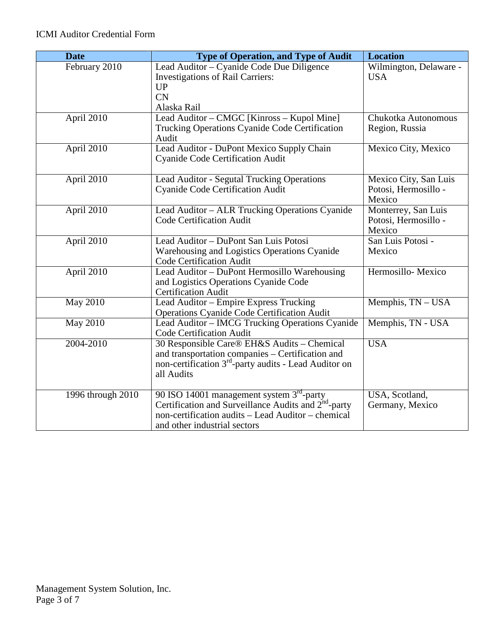| <b>Date</b>       | <b>Type of Operation, and Type of Audit</b>                                                  | <b>Location</b>                |
|-------------------|----------------------------------------------------------------------------------------------|--------------------------------|
| February 2010     | Lead Auditor – Cyanide Code Due Diligence                                                    | Wilmington, Delaware -         |
|                   | <b>Investigations of Rail Carriers:</b><br><b>UP</b>                                         | <b>USA</b>                     |
|                   | <b>CN</b>                                                                                    |                                |
|                   | Alaska Rail                                                                                  |                                |
| April 2010        | Lead Auditor – CMGC [Kinross – Kupol Mine]                                                   | Chukotka Autonomous            |
|                   | Trucking Operations Cyanide Code Certification                                               | Region, Russia                 |
|                   | Audit                                                                                        |                                |
| April 2010        | Lead Auditor - DuPont Mexico Supply Chain<br><b>Cyanide Code Certification Audit</b>         | Mexico City, Mexico            |
|                   |                                                                                              |                                |
| April 2010        | Lead Auditor - Segutal Trucking Operations                                                   | Mexico City, San Luis          |
|                   | <b>Cyanide Code Certification Audit</b>                                                      | Potosi, Hermosillo -           |
|                   |                                                                                              | Mexico                         |
| April 2010        | Lead Auditor - ALR Trucking Operations Cyanide                                               | Monterrey, San Luis            |
|                   | <b>Code Certification Audit</b>                                                              | Potosi, Hermosillo -<br>Mexico |
| April 2010        | Lead Auditor - DuPont San Luis Potosi                                                        | San Luis Potosi -              |
|                   | Warehousing and Logistics Operations Cyanide                                                 | Mexico                         |
|                   | <b>Code Certification Audit</b>                                                              |                                |
| April 2010        | Lead Auditor - DuPont Hermosillo Warehousing                                                 | Hermosillo-Mexico              |
|                   | and Logistics Operations Cyanide Code                                                        |                                |
|                   | <b>Certification Audit</b>                                                                   | Memphis, TN - USA              |
| <b>May 2010</b>   | Lead Auditor - Empire Express Trucking<br><b>Operations Cyanide Code Certification Audit</b> |                                |
| <b>May 2010</b>   | Lead Auditor - IMCG Trucking Operations Cyanide                                              | Memphis, TN - USA              |
|                   | <b>Code Certification Audit</b>                                                              |                                |
| 2004-2010         | 30 Responsible Care® EH&S Audits - Chemical                                                  | <b>USA</b>                     |
|                   | and transportation companies - Certification and                                             |                                |
|                   | non-certification 3 <sup>rd</sup> -party audits - Lead Auditor on                            |                                |
|                   | all Audits                                                                                   |                                |
| 1996 through 2010 | 90 ISO 14001 management system 3 <sup>rd</sup> -party                                        | USA, Scotland,                 |
|                   | Certification and Surveillance Audits and 2 <sup>nd</sup> -party                             | Germany, Mexico                |
|                   | non-certification audits - Lead Auditor - chemical                                           |                                |
|                   | and other industrial sectors                                                                 |                                |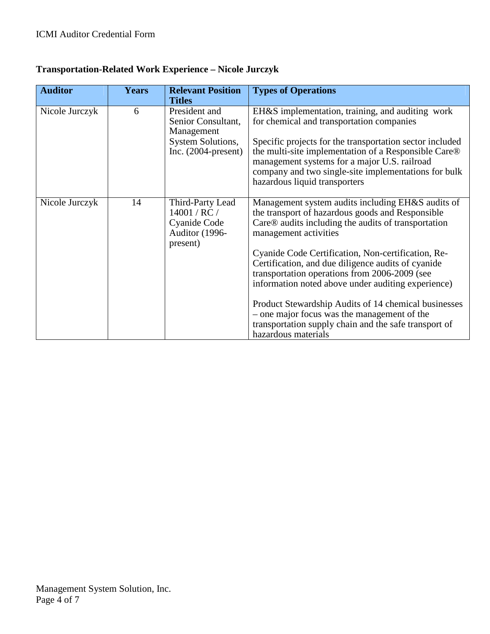| <b>Auditor</b> | <b>Years</b> | <b>Relevant Position</b>                                                                                | <b>Types of Operations</b>                                                                                                                                                                                                                                                                                                                                                                               |
|----------------|--------------|---------------------------------------------------------------------------------------------------------|----------------------------------------------------------------------------------------------------------------------------------------------------------------------------------------------------------------------------------------------------------------------------------------------------------------------------------------------------------------------------------------------------------|
|                |              | <b>Titles</b>                                                                                           |                                                                                                                                                                                                                                                                                                                                                                                                          |
| Nicole Jurczyk | 6            | President and<br>Senior Consultant,<br>Management<br><b>System Solutions,</b><br>Inc. $(2004$ -present) | EH&S implementation, training, and auditing work<br>for chemical and transportation companies<br>Specific projects for the transportation sector included<br>the multi-site implementation of a Responsible Care®<br>management systems for a major U.S. railroad<br>company and two single-site implementations for bulk<br>hazardous liquid transporters                                               |
| Nicole Jurczyk | 14           | Third-Party Lead<br>14001 / RC /<br>Cyanide Code<br>Auditor (1996-<br>present)                          | Management system audits including EH&S audits of<br>the transport of hazardous goods and Responsible<br>Care® audits including the audits of transportation<br>management activities<br>Cyanide Code Certification, Non-certification, Re-<br>Certification, and due diligence audits of cyanide<br>transportation operations from 2006-2009 (see<br>information noted above under auditing experience) |
|                |              |                                                                                                         | Product Stewardship Audits of 14 chemical businesses<br>- one major focus was the management of the<br>transportation supply chain and the safe transport of<br>hazardous materials                                                                                                                                                                                                                      |

## **Transportation-Related Work Experience – Nicole Jurczyk**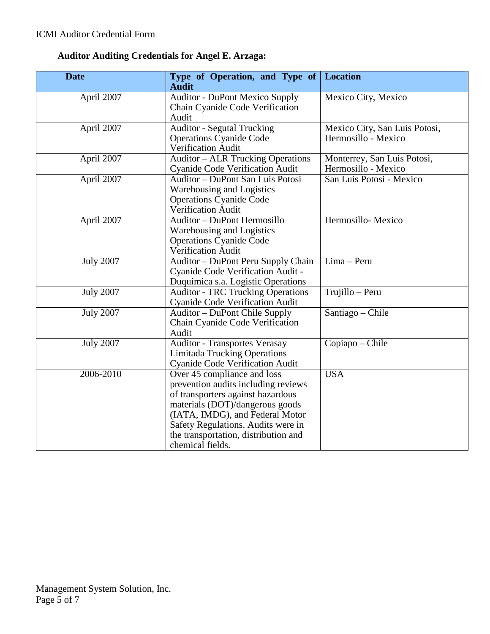## **Auditor Auditing Credentials for Angel E. Arzaga:**

| <b>Date</b>      | Type of Operation, and Type of<br><b>Audit</b>                                                                                                                                                                                                                                  | <b>Location</b>                                      |
|------------------|---------------------------------------------------------------------------------------------------------------------------------------------------------------------------------------------------------------------------------------------------------------------------------|------------------------------------------------------|
| April 2007       | <b>Auditor - DuPont Mexico Supply</b><br>Chain Cyanide Code Verification<br>Audit                                                                                                                                                                                               | Mexico City, Mexico                                  |
| April 2007       | <b>Auditor - Segutal Trucking</b><br><b>Operations Cyanide Code</b><br>Verification Audit                                                                                                                                                                                       | Mexico City, San Luis Potosi,<br>Hermosillo - Mexico |
| April 2007       | <b>Auditor - ALR Trucking Operations</b><br><b>Cyanide Code Verification Audit</b>                                                                                                                                                                                              | Monterrey, San Luis Potosi,<br>Hermosillo - Mexico   |
| April 2007       | Auditor - DuPont San Luis Potosi<br>Warehousing and Logistics<br><b>Operations Cyanide Code</b><br>Verification Audit                                                                                                                                                           | San Luis Potosi - Mexico                             |
| April 2007       | Auditor - DuPont Hermosillo<br>Warehousing and Logistics<br><b>Operations Cyanide Code</b><br>Verification Audit                                                                                                                                                                | Hermosillo-Mexico                                    |
| <b>July 2007</b> | Auditor - DuPont Peru Supply Chain<br>Cyanide Code Verification Audit -<br>Duquimica s.a. Logistic Operations                                                                                                                                                                   | Lima - Peru                                          |
| <b>July 2007</b> | <b>Auditor - TRC Trucking Operations</b><br><b>Cyanide Code Verification Audit</b>                                                                                                                                                                                              | Trujillo – Peru                                      |
| <b>July 2007</b> | Auditor – DuPont Chile Supply<br>Chain Cyanide Code Verification<br>Audit                                                                                                                                                                                                       | Santiago – Chile                                     |
| <b>July 2007</b> | <b>Auditor - Transportes Verasay</b><br><b>Limitada Trucking Operations</b><br><b>Cyanide Code Verification Audit</b>                                                                                                                                                           | Copiapo - Chile                                      |
| 2006-2010        | Over 45 compliance and loss<br>prevention audits including reviews<br>of transporters against hazardous<br>materials (DOT)/dangerous goods<br>(IATA, IMDG), and Federal Motor<br>Safety Regulations. Audits were in<br>the transportation, distribution and<br>chemical fields. | <b>USA</b>                                           |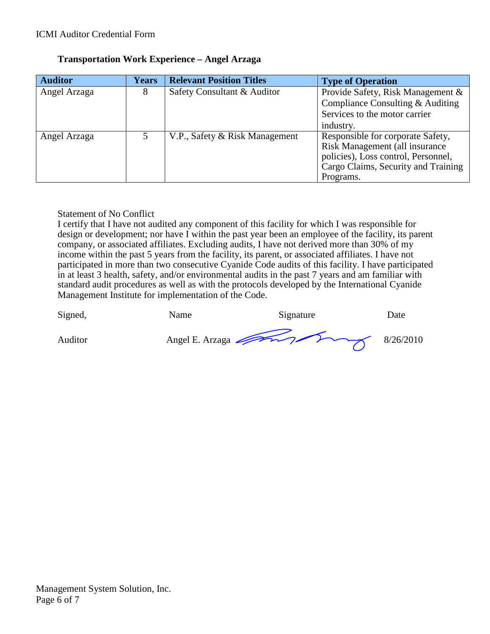| <b>Auditor</b> | <b>Years</b> | <b>Relevant Position Titles</b> | <b>Type of Operation</b>            |
|----------------|--------------|---------------------------------|-------------------------------------|
| Angel Arzaga   | 8            | Safety Consultant & Auditor     | Provide Safety, Risk Management &   |
|                |              |                                 | Compliance Consulting & Auditing    |
|                |              |                                 | Services to the motor carrier       |
|                |              |                                 | industry.                           |
| Angel Arzaga   |              | V.P., Safety & Risk Management  | Responsible for corporate Safety,   |
|                |              |                                 | Risk Management (all insurance      |
|                |              |                                 | policies), Loss control, Personnel, |
|                |              |                                 | Cargo Claims, Security and Training |
|                |              |                                 | Programs.                           |

### **Transportation Work Experience – Angel Arzaga**

### Statement of No Conflict

I certify that I have not audited any component of this facility for which I was responsible for design or development; nor have I within the past year been an employee of the facility, its parent company, or associated affiliates. Excluding audits, I have not derived more than 30% of my income within the past 5 years from the facility, its parent, or associated affiliates. I have not participated in more than two consecutive Cyanide Code audits of this facility. I have participated in at least 3 health, safety, and/or environmental audits in the past 7 years and am familiar with standard audit procedures as well as with the protocols developed by the International Cyanide Management Institute for implementation of the Code.

| Signed, | Name                      | Signature | Date |
|---------|---------------------------|-----------|------|
| Auditor | Angel E. Arzaga 3/26/2010 |           |      |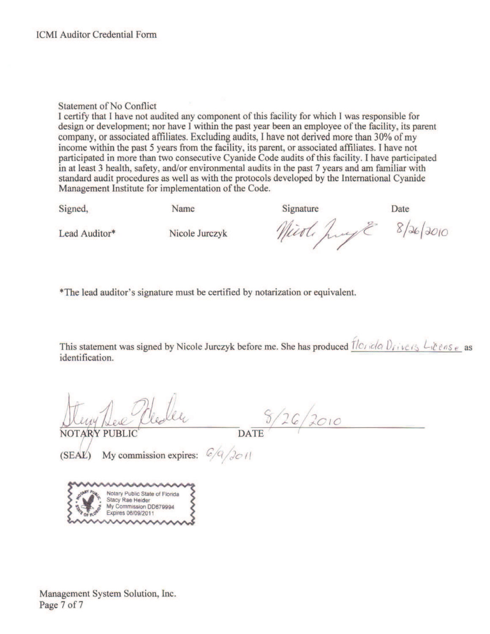### **Statement of No Conflict**

I certify that I have not audited any component of this facility for which I was responsible for design or development; nor have I within the past year been an employee of the facility, its parent company, or associated affiliates. Excluding audits, I have not derived more than 30% of my income within the past 5 years from the facility, its parent, or associated affiliates. I have not participated in more than two consecutive Cyanide Code audits of this facility. I have participated in at least 3 health, safety, and/or environmental audits in the past 7 years and am familiar with standard audit procedures as well as with the protocols developed by the International Cyanide Management Institute for implementation of the Code.

Signed,

Name

Signature

Date

Lead Auditor\*

Nicole Jurczyk

Nieoli Jung 8/26/2010

\*The lead auditor's signature must be certified by notarization or equivalent.

This statement was signed by Nicole Jurczyk before me. She has produced  $7/c$  icla  $0$  ivers  $L$  icense as identification.

 $rac{8}{26}/26/2010$ 

(SEAL) My commission expires:  $\frac{C}{Q}$  /  $\frac{1}{2C}$  / |



Management System Solution, Inc. Page 7 of 7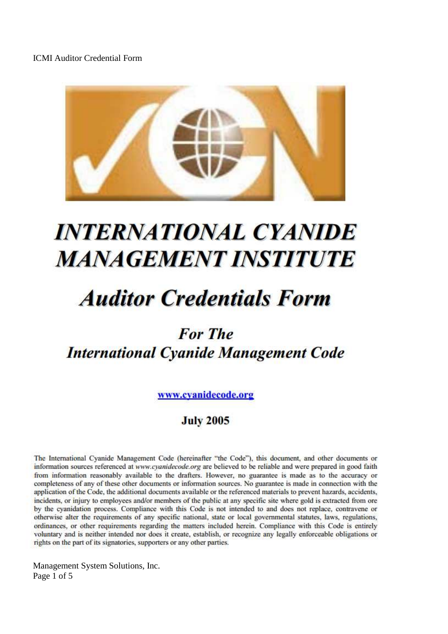

# **INTERNATIONAL CYANIDE MANAGEMENT INSTITUTE**

# **Auditor Credentials Form**

# **For The International Cyanide Management Code**

www.cvanidecode.org

# **July 2005**

The International Cyanide Management Code (hereinafter "the Code"), this document, and other documents or information sources referenced at www.cvanidecode.org are believed to be reliable and were prepared in good faith from information reasonably available to the drafters. However, no guarantee is made as to the accuracy or completeness of any of these other documents or information sources. No guarantee is made in connection with the application of the Code, the additional documents available or the referenced materials to prevent hazards, accidents, incidents, or injury to employees and/or members of the public at any specific site where gold is extracted from ore by the cyanidation process. Compliance with this Code is not intended to and does not replace, contravene or otherwise alter the requirements of any specific national, state or local governmental statutes, laws, regulations, ordinances, or other requirements regarding the matters included herein. Compliance with this Code is entirely voluntary and is neither intended nor does it create, establish, or recognize any legally enforceable obligations or rights on the part of its signatories, supporters or any other parties.

Management System Solutions, Inc. Page 1 of 5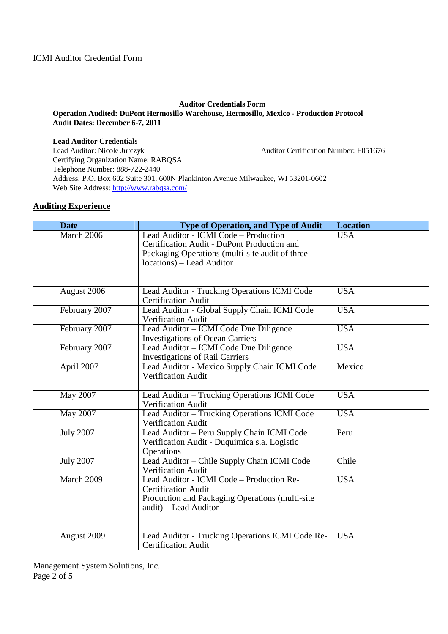### **Auditor Credentials Form**

### **Operation Audited: DuPont Hermosillo Warehouse, Hermosillo, Mexico - Production Protocol Audit Dates: December 6-7, 2011**

**Lead Auditor Credentials**  Lead Auditor: Nicole Jurczyk Auditor Certification Number: E051676 Certifying Organization Name: RABQSA Telephone Number: 888-722-2440 Address: P.O. Box 602 Suite 301, 600N Plankinton Avenue Milwaukee, WI 53201-0602 Web Site Address: http://www.rabqsa.com/

### **Auditing Experience**

| <b>Date</b>      | <b>Type of Operation, and Type of Audit</b>                                                                                                                          | <b>Location</b> |
|------------------|----------------------------------------------------------------------------------------------------------------------------------------------------------------------|-----------------|
| March 2006       | Lead Auditor - ICMI Code - Production<br>Certification Audit - DuPont Production and<br>Packaging Operations (multi-site audit of three<br>locations) – Lead Auditor | <b>USA</b>      |
|                  |                                                                                                                                                                      |                 |
| August 2006      | Lead Auditor - Trucking Operations ICMI Code<br><b>Certification Audit</b>                                                                                           | <b>USA</b>      |
| February 2007    | Lead Auditor - Global Supply Chain ICMI Code<br>Verification Audit                                                                                                   | <b>USA</b>      |
| February 2007    | Lead Auditor - ICMI Code Due Diligence<br><b>Investigations of Ocean Carriers</b>                                                                                    | <b>USA</b>      |
| February 2007    | Lead Auditor – ICMI Code Due Diligence<br><b>Investigations of Rail Carriers</b>                                                                                     | <b>USA</b>      |
| April 2007       | Lead Auditor - Mexico Supply Chain ICMI Code<br><b>Verification Audit</b>                                                                                            | Mexico          |
| May 2007         | Lead Auditor - Trucking Operations ICMI Code<br><b>Verification Audit</b>                                                                                            | <b>USA</b>      |
| May 2007         | Lead Auditor - Trucking Operations ICMI Code<br>Verification Audit                                                                                                   | <b>USA</b>      |
| <b>July 2007</b> | Lead Auditor - Peru Supply Chain ICMI Code<br>Verification Audit - Duquimica s.a. Logistic<br>Operations                                                             | Peru            |
| <b>July 2007</b> | Lead Auditor - Chile Supply Chain ICMI Code<br>Verification Audit                                                                                                    | Chile           |
| March 2009       | Lead Auditor - ICMI Code - Production Re-<br><b>Certification Audit</b><br>Production and Packaging Operations (multi-site<br>audit) - Lead Auditor                  | <b>USA</b>      |
| August 2009      | Lead Auditor - Trucking Operations ICMI Code Re-<br><b>Certification Audit</b>                                                                                       | <b>USA</b>      |

Management System Solutions, Inc. Page 2 of 5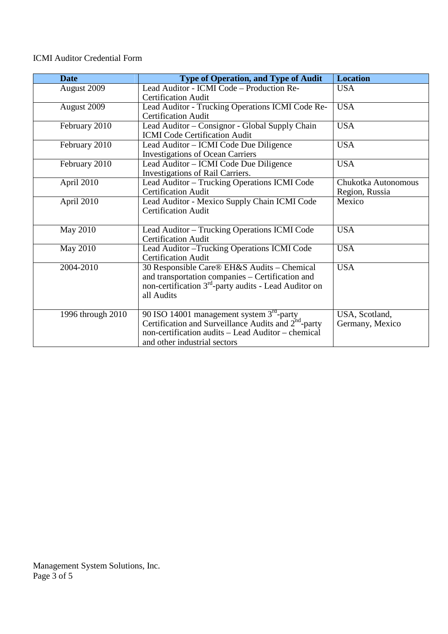### ICMI Auditor Credential Form

| Date              | <b>Type of Operation, and Type of Audit</b>             | <b>Location</b>     |
|-------------------|---------------------------------------------------------|---------------------|
| August 2009       | Lead Auditor - ICMI Code - Production Re-               | <b>USA</b>          |
|                   | <b>Certification Audit</b>                              |                     |
| August 2009       | Lead Auditor - Trucking Operations ICMI Code Re-        | <b>USA</b>          |
|                   | <b>Certification Audit</b>                              |                     |
| February 2010     | Lead Auditor - Consignor - Global Supply Chain          | <b>USA</b>          |
|                   | <b>ICMI</b> Code Certification Audit                    |                     |
| February 2010     | Lead Auditor – ICMI Code Due Diligence                  | <b>USA</b>          |
|                   | <b>Investigations of Ocean Carriers</b>                 |                     |
| February 2010     | Lead Auditor – ICMI Code Due Diligence                  | <b>USA</b>          |
|                   | Investigations of Rail Carriers.                        |                     |
| April 2010        | Lead Auditor - Trucking Operations ICMI Code            | Chukotka Autonomous |
|                   | <b>Certification Audit</b>                              | Region, Russia      |
| April 2010        | Lead Auditor - Mexico Supply Chain ICMI Code            | Mexico              |
|                   | <b>Certification Audit</b>                              |                     |
|                   |                                                         |                     |
| <b>May 2010</b>   | Lead Auditor - Trucking Operations ICMI Code            | <b>USA</b>          |
|                   | <b>Certification Audit</b>                              |                     |
| <b>May 2010</b>   | Lead Auditor - Trucking Operations ICMI Code            | <b>USA</b>          |
|                   | <b>Certification Audit</b>                              |                     |
| 2004-2010         | 30 Responsible Care® EH&S Audits – Chemical             | <b>USA</b>          |
|                   | and transportation companies - Certification and        |                     |
|                   | non-certification $3rd$ -party audits - Lead Auditor on |                     |
|                   | all Audits                                              |                     |
|                   |                                                         |                     |
| 1996 through 2010 | 90 ISO 14001 management system 3 <sup>rd</sup> -party   | USA, Scotland,      |
|                   | Certification and Surveillance Audits and $2nd$ -party  | Germany, Mexico     |
|                   | non-certification audits - Lead Auditor - chemical      |                     |
|                   | and other industrial sectors                            |                     |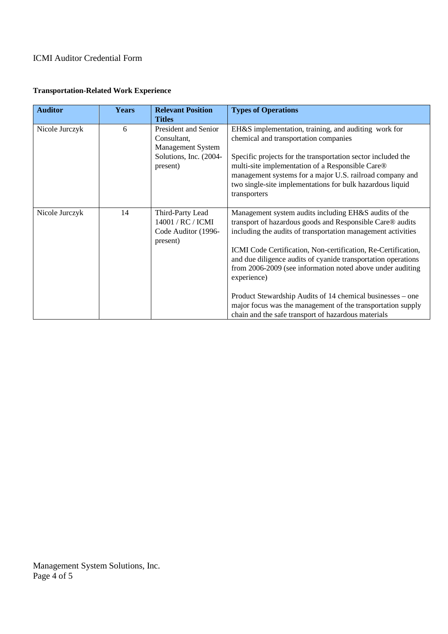### ICMI Auditor Credential Form

| <b>Transportation-Related Work Experience</b> |  |
|-----------------------------------------------|--|
|-----------------------------------------------|--|

| <b>Auditor</b> | <b>Years</b> | <b>Relevant Position</b> | <b>Types of Operations</b>                                    |
|----------------|--------------|--------------------------|---------------------------------------------------------------|
|                |              | <b>Titles</b>            |                                                               |
| Nicole Jurczyk | 6            | President and Senior     | EH&S implementation, training, and auditing work for          |
|                |              | Consultant,              | chemical and transportation companies                         |
|                |              | <b>Management System</b> |                                                               |
|                |              | Solutions, Inc. (2004-   | Specific projects for the transportation sector included the  |
|                |              | present)                 | multi-site implementation of a Responsible Care®              |
|                |              |                          | management systems for a major U.S. railroad company and      |
|                |              |                          | two single-site implementations for bulk hazardous liquid     |
|                |              |                          | transporters                                                  |
|                |              |                          |                                                               |
| Nicole Jurczyk | 14           | Third-Party Lead         | Management system audits including EH&S audits of the         |
|                |              | 14001 / RC / ICMI        | transport of hazardous goods and Responsible Care® audits     |
|                |              | Code Auditor (1996-      | including the audits of transportation management activities  |
|                |              | present)                 |                                                               |
|                |              |                          | ICMI Code Certification, Non-certification, Re-Certification, |
|                |              |                          | and due diligence audits of cyanide transportation operations |
|                |              |                          | from 2006-2009 (see information noted above under auditing    |
|                |              |                          | experience)                                                   |
|                |              |                          |                                                               |
|                |              |                          | Product Stewardship Audits of 14 chemical businesses – one    |
|                |              |                          | major focus was the management of the transportation supply   |
|                |              |                          | chain and the safe transport of hazardous materials           |

Management System Solutions, Inc. Page 4 of 5